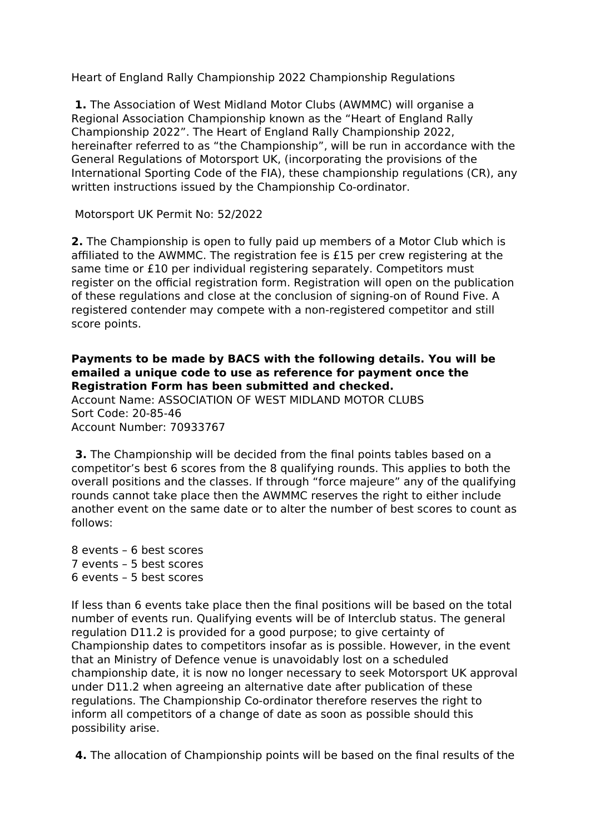Heart of England Rally Championship 2022 Championship Regulations

**1.** The Association of West Midland Motor Clubs (AWMMC) will organise a Regional Association Championship known as the "Heart of England Rally Championship 2022". The Heart of England Rally Championship 2022, hereinafter referred to as "the Championship", will be run in accordance with the General Regulations of Motorsport UK, (incorporating the provisions of the International Sporting Code of the FIA), these championship regulations (CR), any written instructions issued by the Championship Co-ordinator.

Motorsport UK Permit No: 52/2022

**2.** The Championship is open to fully paid up members of a Motor Club which is affiliated to the AWMMC. The registration fee is £15 per crew registering at the same time or £10 per individual registering separately. Competitors must register on the official registration form. Registration will open on the publication of these regulations and close at the conclusion of signing-on of Round Five. A registered contender may compete with a non-registered competitor and still score points.

# **Payments to be made by BACS with the following details. You will be emailed a unique code to use as reference for payment once the Registration Form has been submitted and checked.**

Account Name: ASSOCIATION OF WEST MIDLAND MOTOR CLUBS Sort Code: 20-85-46 Account Number: 70933767

 **3.** The Championship will be decided from the final points tables based on a competitor's best 6 scores from the 8 qualifying rounds. This applies to both the overall positions and the classes. If through "force majeure" any of the qualifying rounds cannot take place then the AWMMC reserves the right to either include another event on the same date or to alter the number of best scores to count as follows:

8 events – 6 best scores 7 events – 5 best scores 6 events – 5 best scores

If less than 6 events take place then the final positions will be based on the total number of events run. Qualifying events will be of Interclub status. The general regulation D11.2 is provided for a good purpose; to give certainty of Championship dates to competitors insofar as is possible. However, in the event that an Ministry of Defence venue is unavoidably lost on a scheduled championship date, it is now no longer necessary to seek Motorsport UK approval under D11.2 when agreeing an alternative date after publication of these regulations. The Championship Co-ordinator therefore reserves the right to inform all competitors of a change of date as soon as possible should this possibility arise.

 **4.** The allocation of Championship points will be based on the final results of the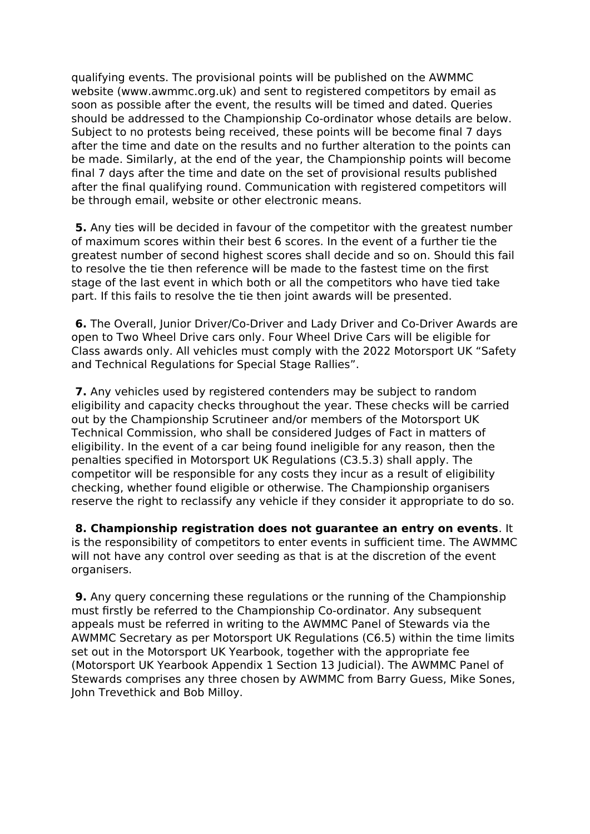qualifying events. The provisional points will be published on the AWMMC website (www.awmmc.org.uk) and sent to registered competitors by email as soon as possible after the event, the results will be timed and dated. Queries should be addressed to the Championship Co-ordinator whose details are below. Subject to no protests being received, these points will be become final 7 days after the time and date on the results and no further alteration to the points can be made. Similarly, at the end of the year, the Championship points will become final 7 days after the time and date on the set of provisional results published after the final qualifying round. Communication with registered competitors will be through email, website or other electronic means.

 **5.** Any ties will be decided in favour of the competitor with the greatest number of maximum scores within their best 6 scores. In the event of a further tie the greatest number of second highest scores shall decide and so on. Should this fail to resolve the tie then reference will be made to the fastest time on the first stage of the last event in which both or all the competitors who have tied take part. If this fails to resolve the tie then joint awards will be presented.

 **6.** The Overall, Junior Driver/Co-Driver and Lady Driver and Co-Driver Awards are open to Two Wheel Drive cars only. Four Wheel Drive Cars will be eligible for Class awards only. All vehicles must comply with the 2022 Motorsport UK "Safety and Technical Regulations for Special Stage Rallies".

 **7.** Any vehicles used by registered contenders may be subject to random eligibility and capacity checks throughout the year. These checks will be carried out by the Championship Scrutineer and/or members of the Motorsport UK Technical Commission, who shall be considered Judges of Fact in matters of eligibility. In the event of a car being found ineligible for any reason, then the penalties specified in Motorsport UK Regulations (C3.5.3) shall apply. The competitor will be responsible for any costs they incur as a result of eligibility checking, whether found eligible or otherwise. The Championship organisers reserve the right to reclassify any vehicle if they consider it appropriate to do so.

 **8. Championship registration does not guarantee an entry on events**. It is the responsibility of competitors to enter events in sufficient time. The AWMMC will not have any control over seeding as that is at the discretion of the event organisers.

 **9.** Any query concerning these regulations or the running of the Championship must firstly be referred to the Championship Co-ordinator. Any subsequent appeals must be referred in writing to the AWMMC Panel of Stewards via the AWMMC Secretary as per Motorsport UK Regulations (C6.5) within the time limits set out in the Motorsport UK Yearbook, together with the appropriate fee (Motorsport UK Yearbook Appendix 1 Section 13 Judicial). The AWMMC Panel of Stewards comprises any three chosen by AWMMC from Barry Guess, Mike Sones, John Trevethick and Bob Milloy.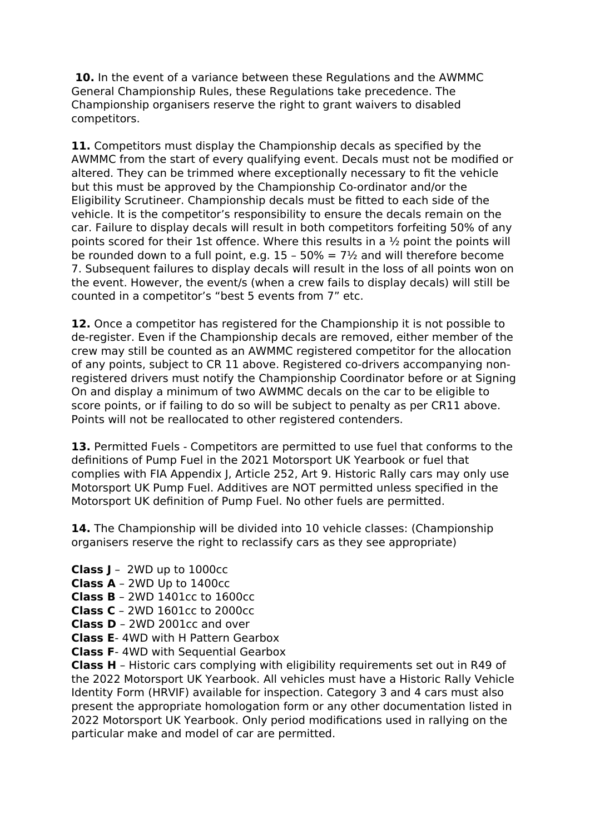**10.** In the event of a variance between these Regulations and the AWMMC General Championship Rules, these Regulations take precedence. The Championship organisers reserve the right to grant waivers to disabled competitors.

**11.** Competitors must display the Championship decals as specified by the AWMMC from the start of every qualifying event. Decals must not be modified or altered. They can be trimmed where exceptionally necessary to fit the vehicle but this must be approved by the Championship Co-ordinator and/or the Eligibility Scrutineer. Championship decals must be fitted to each side of the vehicle. It is the competitor's responsibility to ensure the decals remain on the car. Failure to display decals will result in both competitors forfeiting 50% of any points scored for their 1st offence. Where this results in a  $\frac{1}{2}$  point the points will be rounded down to a full point, e.g.  $15 - 50\% = 7\frac{1}{2}$  and will therefore become 7. Subsequent failures to display decals will result in the loss of all points won on the event. However, the event/s (when a crew fails to display decals) will still be counted in a competitor's "best 5 events from 7" etc.

**12.** Once a competitor has registered for the Championship it is not possible to de-register. Even if the Championship decals are removed, either member of the crew may still be counted as an AWMMC registered competitor for the allocation of any points, subject to CR 11 above. Registered co-drivers accompanying nonregistered drivers must notify the Championship Coordinator before or at Signing On and display a minimum of two AWMMC decals on the car to be eligible to score points, or if failing to do so will be subject to penalty as per CR11 above. Points will not be reallocated to other registered contenders.

**13.** Permitted Fuels - Competitors are permitted to use fuel that conforms to the definitions of Pump Fuel in the 2021 Motorsport UK Yearbook or fuel that complies with FIA Appendix J, Article 252, Art 9. Historic Rally cars may only use Motorsport UK Pump Fuel. Additives are NOT permitted unless specified in the Motorsport UK definition of Pump Fuel. No other fuels are permitted.

**14.** The Championship will be divided into 10 vehicle classes: (Championship organisers reserve the right to reclassify cars as they see appropriate)

- **Class J** 2WD up to 1000cc
- **Class A** 2WD Up to 1400cc
- **Class B** 2WD 1401cc to 1600cc
- **Class C** 2WD 1601cc to 2000cc
- **Class D** 2WD 2001cc and over
- **Class E** 4WD with H Pattern Gearbox
- **Class F** 4WD with Sequential Gearbox

**Class H** – Historic cars complying with eligibility requirements set out in R49 of the 2022 Motorsport UK Yearbook. All vehicles must have a Historic Rally Vehicle Identity Form (HRVIF) available for inspection. Category 3 and 4 cars must also present the appropriate homologation form or any other documentation listed in 2022 Motorsport UK Yearbook. Only period modifications used in rallying on the particular make and model of car are permitted.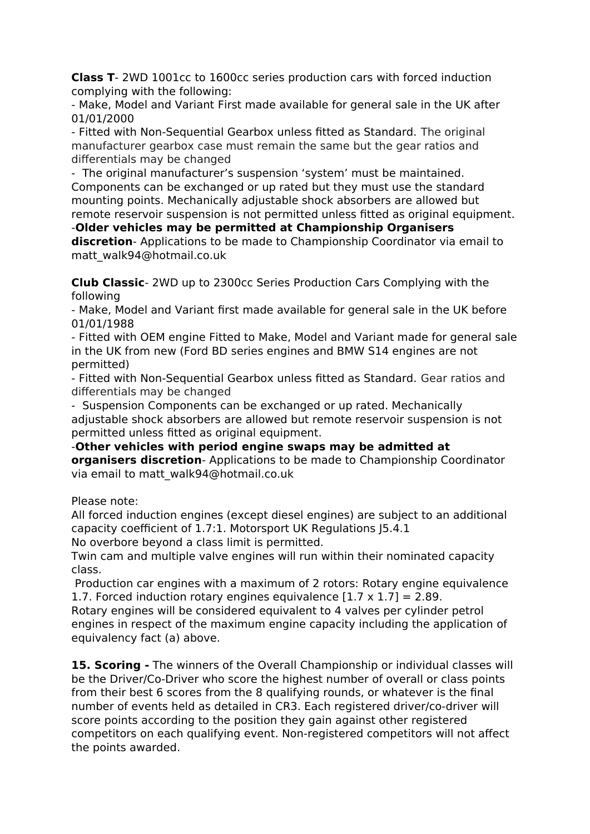**Class T**- 2WD 1001cc to 1600cc series production cars with forced induction complying with the following:

- Make, Model and Variant First made available for general sale in the UK after 01/01/2000

- Fitted with Non-Sequential Gearbox unless fitted as Standard. The original manufacturer gearbox case must remain the same but the gear ratios and differentials may be changed

- The original manufacturer's suspension 'system' must be maintained. Components can be exchanged or up rated but they must use the standard mounting points. Mechanically adjustable shock absorbers are allowed but remote reservoir suspension is not permitted unless fitted as original equipment.

-**Older vehicles may be permitted at Championship Organisers** 

**discretion**- Applications to be made to Championship Coordinator via email to matt\_walk94@hotmail.co.uk

**Club Classic**- 2WD up to 2300cc Series Production Cars Complying with the following

- Make, Model and Variant first made available for general sale in the UK before 01/01/1988

- Fitted with OEM engine Fitted to Make, Model and Variant made for general sale in the UK from new (Ford BD series engines and BMW S14 engines are not permitted)

- Fitted with Non-Sequential Gearbox unless fitted as Standard. Gear ratios and differentials may be changed

- Suspension Components can be exchanged or up rated. Mechanically adjustable shock absorbers are allowed but remote reservoir suspension is not permitted unless fitted as original equipment.

-**Other vehicles with period engine swaps may be admitted at organisers discretion**- Applications to be made to Championship Coordinator via email to matt\_walk94@hotmail.co.uk

Please note:

All forced induction engines (except diesel engines) are subject to an additional capacity coefficient of 1.7:1. Motorsport UK Regulations J5.4.1

No overbore beyond a class limit is permitted.

Twin cam and multiple valve engines will run within their nominated capacity class.

 Production car engines with a maximum of 2 rotors: Rotary engine equivalence 1.7. Forced induction rotary engines equivalence  $[1.7 \times 1.7] = 2.89$ .

Rotary engines will be considered equivalent to 4 valves per cylinder petrol engines in respect of the maximum engine capacity including the application of equivalency fact (a) above.

**15. Scoring -** The winners of the Overall Championship or individual classes will be the Driver/Co-Driver who score the highest number of overall or class points from their best 6 scores from the 8 qualifying rounds, or whatever is the final number of events held as detailed in CR3. Each registered driver/co-driver will score points according to the position they gain against other registered competitors on each qualifying event. Non-registered competitors will not affect the points awarded.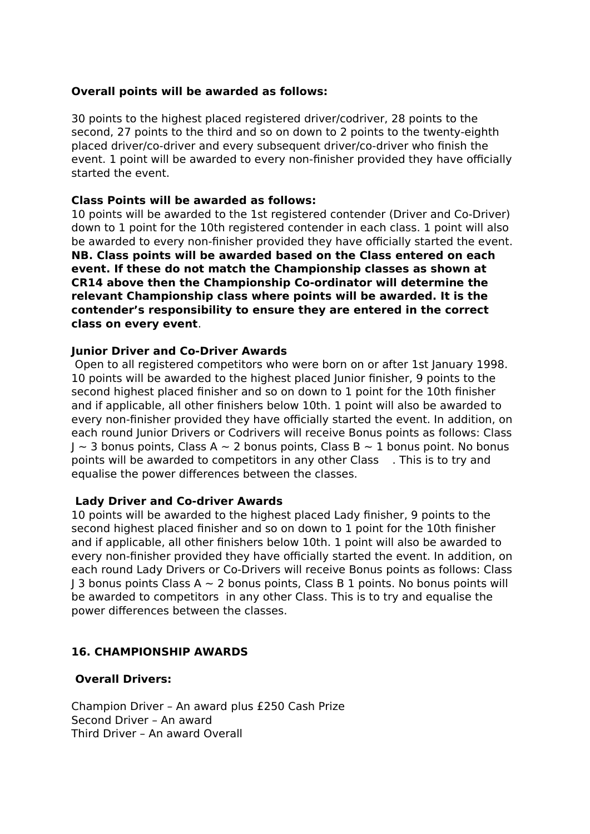## **Overall points will be awarded as follows:**

30 points to the highest placed registered driver/codriver, 28 points to the second, 27 points to the third and so on down to 2 points to the twenty-eighth placed driver/co-driver and every subsequent driver/co-driver who finish the event. 1 point will be awarded to every non-finisher provided they have officially started the event.

## **Class Points will be awarded as follows:**

10 points will be awarded to the 1st registered contender (Driver and Co-Driver) down to 1 point for the 10th registered contender in each class. 1 point will also be awarded to every non-finisher provided they have officially started the event. **NB. Class points will be awarded based on the Class entered on each event. If these do not match the Championship classes as shown at CR14 above then the Championship Co-ordinator will determine the relevant Championship class where points will be awarded. It is the contender's responsibility to ensure they are entered in the correct class on every event**.

## **Junior Driver and Co-Driver Awards**

 Open to all registered competitors who were born on or after 1st January 1998. 10 points will be awarded to the highest placed Junior finisher, 9 points to the second highest placed finisher and so on down to 1 point for the 10th finisher and if applicable, all other finishers below 10th. 1 point will also be awarded to every non-finisher provided they have officially started the event. In addition, on each round Junior Drivers or Codrivers will receive Bonus points as follows: Class  $J \sim$  3 bonus points, Class A  $\sim$  2 bonus points, Class B  $\sim$  1 bonus point. No bonus points will be awarded to competitors in any other Class . This is to try and equalise the power differences between the classes.

#### **Lady Driver and Co-driver Awards**

10 points will be awarded to the highest placed Lady finisher, 9 points to the second highest placed finisher and so on down to 1 point for the 10th finisher and if applicable, all other finishers below 10th. 1 point will also be awarded to every non-finisher provided they have officially started the event. In addition, on each round Lady Drivers or Co-Drivers will receive Bonus points as follows: Class  $J_1$  3 bonus points Class A  $\sim$  2 bonus points, Class B 1 points. No bonus points will be awarded to competitors in any other Class. This is to try and equalise the power differences between the classes.

# **16. CHAMPIONSHIP AWARDS**

#### **Overall Drivers:**

Champion Driver – An award plus £250 Cash Prize Second Driver – An award Third Driver – An award Overall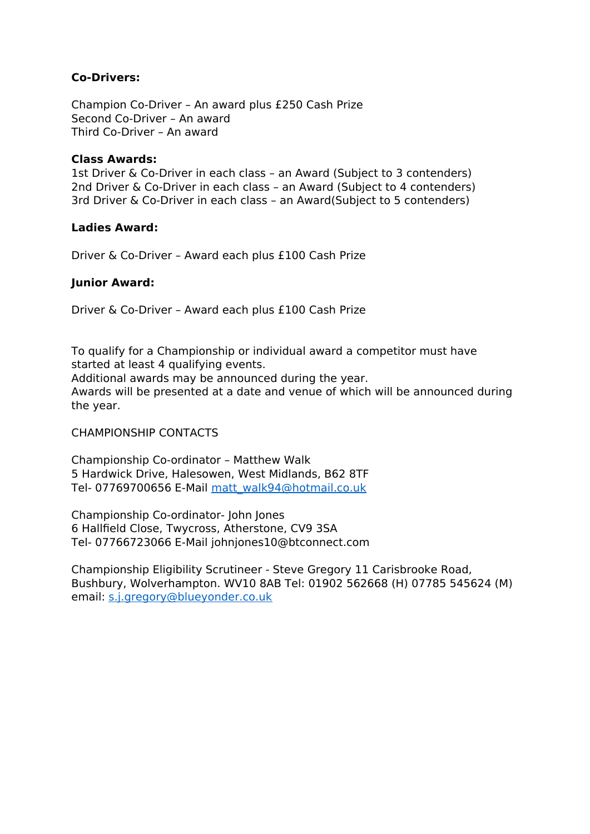# **Co-Drivers:**

Champion Co-Driver – An award plus £250 Cash Prize Second Co-Driver – An award Third Co-Driver – An award

## **Class Awards:**

1st Driver & Co-Driver in each class – an Award (Subject to 3 contenders) 2nd Driver & Co-Driver in each class – an Award (Subject to 4 contenders) 3rd Driver & Co-Driver in each class – an Award(Subject to 5 contenders)

## **Ladies Award:**

Driver & Co-Driver – Award each plus £100 Cash Prize

# **Junior Award:**

Driver & Co-Driver – Award each plus £100 Cash Prize

To qualify for a Championship or individual award a competitor must have started at least 4 qualifying events.

Additional awards may be announced during the year.

Awards will be presented at a date and venue of which will be announced during the year.

#### CHAMPIONSHIP CONTACTS

Championship Co-ordinator – Matthew Walk 5 Hardwick Drive, Halesowen, West Midlands, B62 8TF Tel- 07769700656 E-Mail [matt\\_walk94@hotmail.co.uk](mailto:matt_walk94@hotmail.co.uk)

Championship Co-ordinator- John Jones 6 Hallfield Close, Twycross, Atherstone, CV9 3SA Tel- 07766723066 E-Mail johnjones10@btconnect.com

Championship Eligibility Scrutineer - Steve Gregory 11 Carisbrooke Road, Bushbury, Wolverhampton. WV10 8AB Tel: 01902 562668 (H) 07785 545624 (M) email: [s.j.gregory@blueyonder.co.uk](mailto:s.j.gregory@blueyonder.co.uk)